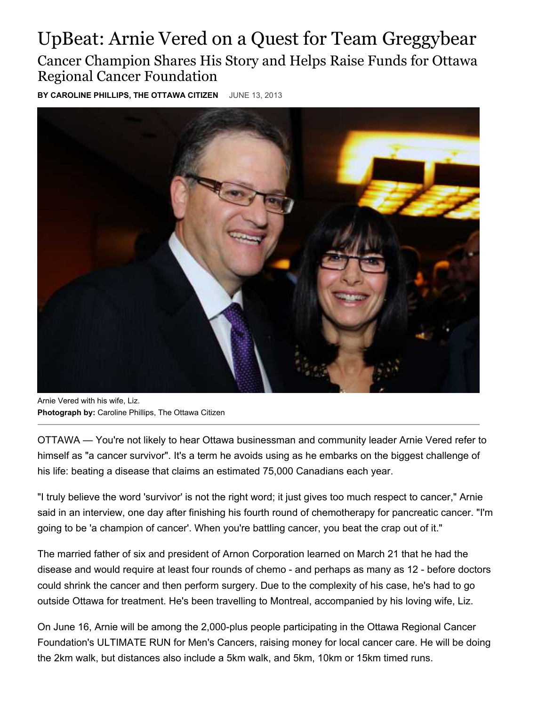## UpBeat: Arnie Vered on a Quest for Team Greggybear Cancer Champion Shares His Story and Helps Raise Funds for Ottawa Regional Cancer Foundation

**BY CAROLINE PHILLIPS, THE OTTAWA CITIZEN** JUNE 13, 2013



Arnie Vered with his wife, Liz. **Photograph by:** Caroline Phillips, The Ottawa Citizen

OTTAWA — You're not likely to hear Ottawa businessman and community leader Arnie Vered refer to himself as "a cancer survivor". It's a term he avoids using as he embarks on the biggest challenge of his life: beating a disease that claims an estimated 75,000 Canadians each year.

"I truly believe the word 'survivor' is not the right word; it just gives too much respect to cancer," Arnie said in an interview, one day after finishing his fourth round of chemotherapy for pancreatic cancer. "I'm going to be 'a champion of cancer'. When you're battling cancer, you beat the crap out of it."

The married father of six and president of Arnon Corporation learned on March 21 that he had the disease and would require at least four rounds of chemo - and perhaps as many as 12 - before doctors could shrink the cancer and then perform surgery. Due to the complexity of his case, he's had to go outside Ottawa for treatment. He's been travelling to Montreal, accompanied by his loving wife, Liz.

On June 16, Arnie will be among the 2,000-plus people participating in the Ottawa Regional Cancer Foundation's ULTIMATE RUN for Men's Cancers, raising money for local cancer care. He will be doing the 2km walk, but distances also include a 5km walk, and 5km, 10km or 15km timed runs.